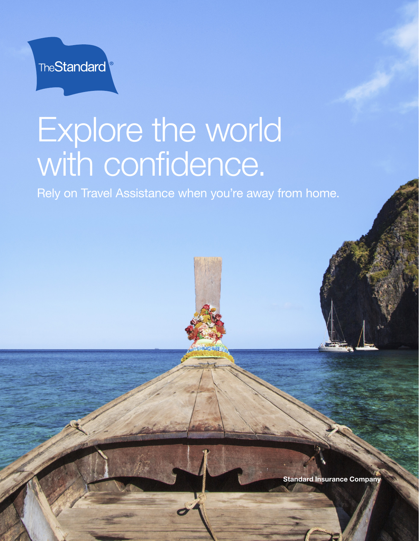

## Explore the world with confidence.

Rely on Travel Assistance when you're away from home.

Standard Insurance Company